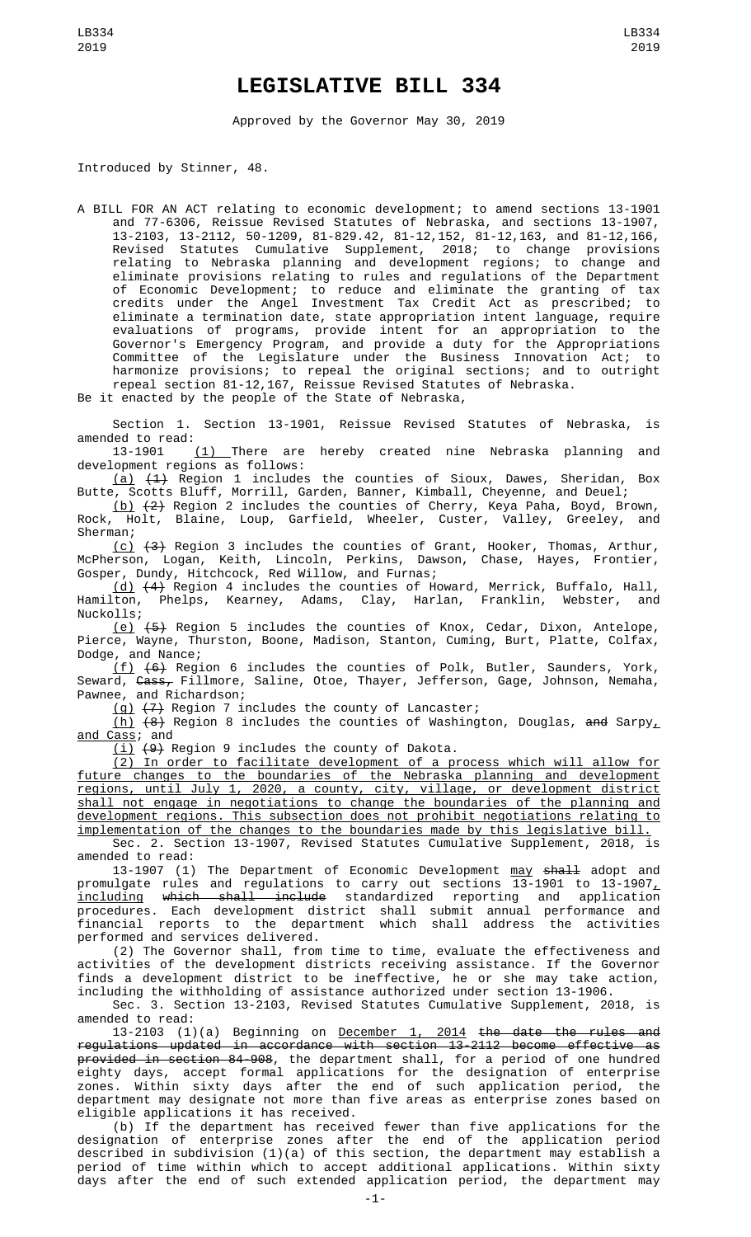## **LEGISLATIVE BILL 334**

Approved by the Governor May 30, 2019

Introduced by Stinner, 48.

A BILL FOR AN ACT relating to economic development; to amend sections 13-1901 and 77-6306, Reissue Revised Statutes of Nebraska, and sections 13-1907, 13-2103, 13-2112, 50-1209, 81-829.42, 81-12,152, 81-12,163, and 81-12,166, Revised Statutes Cumulative Supplement, 2018; to change provisions relating to Nebraska planning and development regions; to change and eliminate provisions relating to rules and regulations of the Department of Economic Development; to reduce and eliminate the granting of tax credits under the Angel Investment Tax Credit Act as prescribed; to eliminate a termination date, state appropriation intent language, require evaluations of programs, provide intent for an appropriation to the Governor's Emergency Program, and provide a duty for the Appropriations Committee of the Legislature under the Business Innovation Act; to harmonize provisions; to repeal the original sections; and to outright repeal section 81-12,167, Reissue Revised Statutes of Nebraska.

Be it enacted by the people of the State of Nebraska,

Section 1. Section 13-1901, Reissue Revised Statutes of Nebraska, is amended to read:<br>13-1901

(1) There are hereby created nine Nebraska planning and development regions as follows:

(a) (1) Region 1 includes the counties of Sioux, Dawes, Sheridan, Box Butte, Scotts Bluff, Morrill, Garden, Banner, Kimball, Cheyenne, and Deuel;

(b) (2) Region 2 includes the counties of Cherry, Keya Paha, Boyd, Brown, Rock, Holt, Blaine, Loup, Garfield, Wheeler, Custer, Valley, Greeley, and Sherman;

 $(c)$   $(3)$  Region 3 includes the counties of Grant, Hooker, Thomas, Arthur, McPherson, Logan, Keith, Lincoln, Perkins, Dawson, Chase, Hayes, Frontier, Gosper, Dundy, Hitchcock, Red Willow, and Furnas;

(d) (4) Region 4 includes the counties of Howard, Merrick, Buffalo, Hall, Hamilton, Phelps, Kearney, Adams, Clay, Harlan, Franklin, Webster, and Nuckolls;

 $(e)$   $(5)$  Region 5 includes the counties of Knox, Cedar, Dixon, Antelope, Pierce, Wayne, Thurston, Boone, Madison, Stanton, Cuming, Burt, Platte, Colfax, Dodge, and Nance;

 $(f)$   $(6)$  Region 6 includes the counties of Polk, Butler, Saunders, York, Seward, <del>Cass,</del> Fillmore, Saline, Otoe, Thayer, Jefferson, Gage, Johnson, Nemaha, Pawnee, and Richardson;

 $(g)$   $(7)$  Region 7 includes the county of Lancaster;

<u>(h)</u>  $\{8\}$  Region 8 includes the counties of Washington, Douglas, <del>and</del> Sarpy<u>,</u> <u>and Cass</u>; and

(i) (9) Region 9 includes the county of Dakota.

(2) In order to facilitate development of a process which will allow for future changes to the boundaries of the Nebraska planning and development regions, until July 1, 2020, a county, city, village, or development district shall not engage in negotiations to change the boundaries of the planning and development regions. This subsection does not prohibit negotiations relating to implementation of the changes to the boundaries made by this legislative bill.

Sec. 2. Section 13-1907, Revised Statutes Cumulative Supplement, 2018, is amended to read:

13-1907 (1) The Department of Economic Development may shall adopt and promulgate rules and regulations to carry out sections 13-1901 to 13-1907 $_{\rm \scriptscriptstyle L}$ including which shall include standardized reporting and application procedures. Each development district shall submit annual performance and financial reports to the department which shall address the activities performed and services delivered.

(2) The Governor shall, from time to time, evaluate the effectiveness and activities of the development districts receiving assistance. If the Governor finds a development district to be ineffective, he or she may take action, including the withholding of assistance authorized under section 13-1906.

Sec. 3. Section 13-2103, Revised Statutes Cumulative Supplement, 2018, is amended to read:

13-2103 (1)(a) Beginning on <u>December 1, 2014</u> <del>the date the rules and</del> regulations updated in accordance with section 13-2112 become effective as provided in section 84-908, the department shall, for a period of one hundred eighty days, accept formal applications for the designation of enterprise zones. Within sixty days after the end of such application period, the department may designate not more than five areas as enterprise zones based on eligible applications it has received.

(b) If the department has received fewer than five applications for the designation of enterprise zones after the end of the application period described in subdivision (1)(a) of this section, the department may establish a period of time within which to accept additional applications. Within sixty days after the end of such extended application period, the department may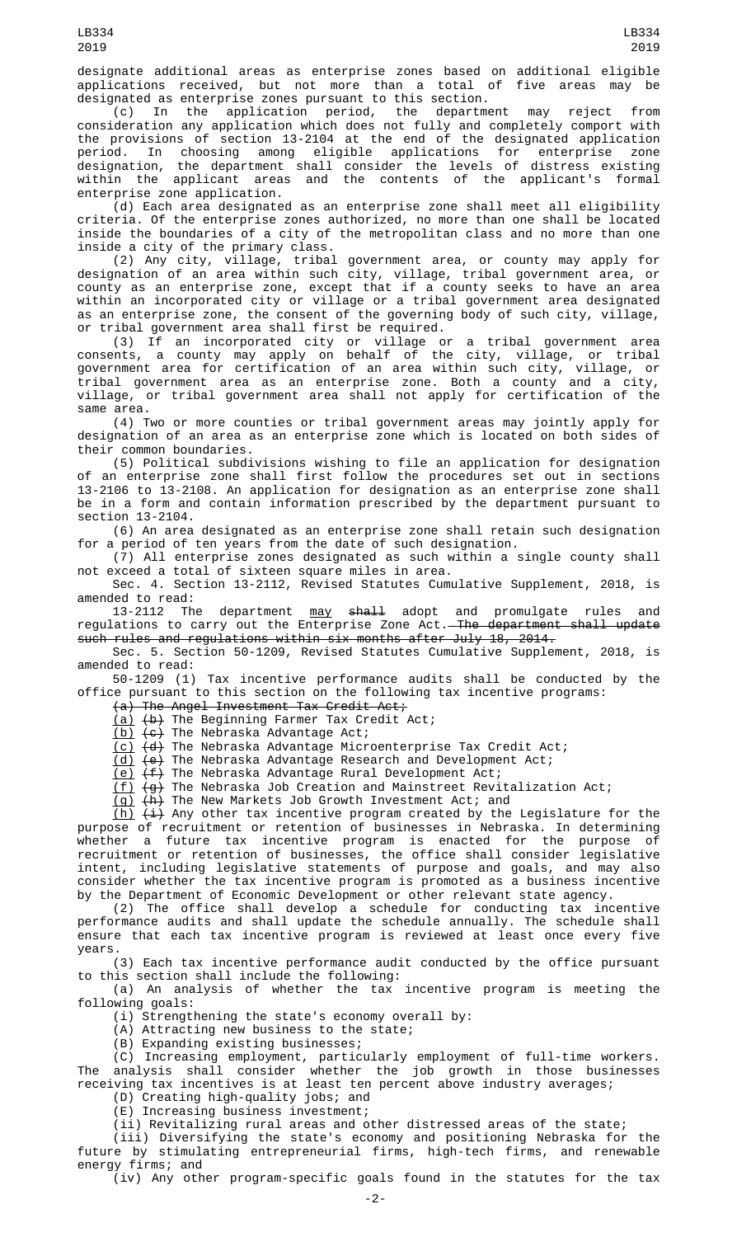designated as enterprise zones pursuant to this section. (c) In the application period, the department may reject from consideration any application which does not fully and completely comport with the provisions of section 13-2104 at the end of the designated application period. In choosing among eligible applications for enterprise zone designation, the department shall consider the levels of distress existing within the applicant areas and the contents of the applicant's formal enterprise zone application.

(d) Each area designated as an enterprise zone shall meet all eligibility criteria. Of the enterprise zones authorized, no more than one shall be located inside the boundaries of a city of the metropolitan class and no more than one inside a city of the primary class.

(2) Any city, village, tribal government area, or county may apply for designation of an area within such city, village, tribal government area, or county as an enterprise zone, except that if a county seeks to have an area within an incorporated city or village or a tribal government area designated as an enterprise zone, the consent of the governing body of such city, village, or tribal government area shall first be required.

(3) If an incorporated city or village or a tribal government area consents, a county may apply on behalf of the city, village, or tribal government area for certification of an area within such city, village, or tribal government area as an enterprise zone. Both a county and a city, village, or tribal government area shall not apply for certification of the same area.

(4) Two or more counties or tribal government areas may jointly apply for designation of an area as an enterprise zone which is located on both sides of their common boundaries.

(5) Political subdivisions wishing to file an application for designation of an enterprise zone shall first follow the procedures set out in sections 13-2106 to 13-2108. An application for designation as an enterprise zone shall be in a form and contain information prescribed by the department pursuant to section 13-2104.

(6) An area designated as an enterprise zone shall retain such designation for a period of ten years from the date of such designation.

(7) All enterprise zones designated as such within a single county shall not exceed a total of sixteen square miles in area.

Sec. 4. Section 13-2112, Revised Statutes Cumulative Supplement, 2018, is amended to read:

13-2112 The department <u>may</u> <del>shall</del> adopt and promulgate rules and regulations to carry out the Enterprise Zone Act.<del>The department shall update</del> such rules and regulations within six months after July 18, 2014.

Sec. 5. Section 50-1209, Revised Statutes Cumulative Supplement, 2018, is amended to read:

50-1209 (1) Tax incentive performance audits shall be conducted by the office pursuant to this section on the following tax incentive programs:

(a) The Angel Investment Tax Credit Act;

(a) (b) The Beginning Farmer Tax Credit Act;

<u>(b)</u> <del>(c)</del> The Nebraska Advantage Act;

(c) (d) The Nebraska Advantage Microenterprise Tax Credit Act;

<u>(d)</u> <del>(e)</del> The Nebraska Advantage Research and Development Act;

<u>(e)</u> <del>(f)</del> The Nebraska Advantage Rural Development Act;

 $\overline{f}$  (g) The Nebraska Job Creation and Mainstreet Revitalization Act;

<u>(g)</u> <del>(h)</del> The New Markets Job Growth Investment Act; and

<u>(h)</u> <del>(i)</del> Any other tax incentive program created by the Legislature for the purpose of recruitment or retention of businesses in Nebraska. In determining whether a future tax incentive program is enacted for the purpose of recruitment or retention of businesses, the office shall consider legislative intent, including legislative statements of purpose and goals, and may also consider whether the tax incentive program is promoted as a business incentive by the Department of Economic Development or other relevant state agency.

(2) The office shall develop a schedule for conducting tax incentive performance audits and shall update the schedule annually. The schedule shall ensure that each tax incentive program is reviewed at least once every five years.

(3) Each tax incentive performance audit conducted by the office pursuant to this section shall include the following:

(a) An analysis of whether the tax incentive program is meeting the following goals:

(i) Strengthening the state's economy overall by:

(A) Attracting new business to the state;

(B) Expanding existing businesses;

(C) Increasing employment, particularly employment of full-time workers. The analysis shall consider whether the job growth in those businesses receiving tax incentives is at least ten percent above industry averages;

(D) Creating high-quality jobs; and

(E) Increasing business investment;

(ii) Revitalizing rural areas and other distressed areas of the state; (iii) Diversifying the state's economy and positioning Nebraska for the future by stimulating entrepreneurial firms, high-tech firms, and renewable energy firms; and

(iv) Any other program-specific goals found in the statutes for the tax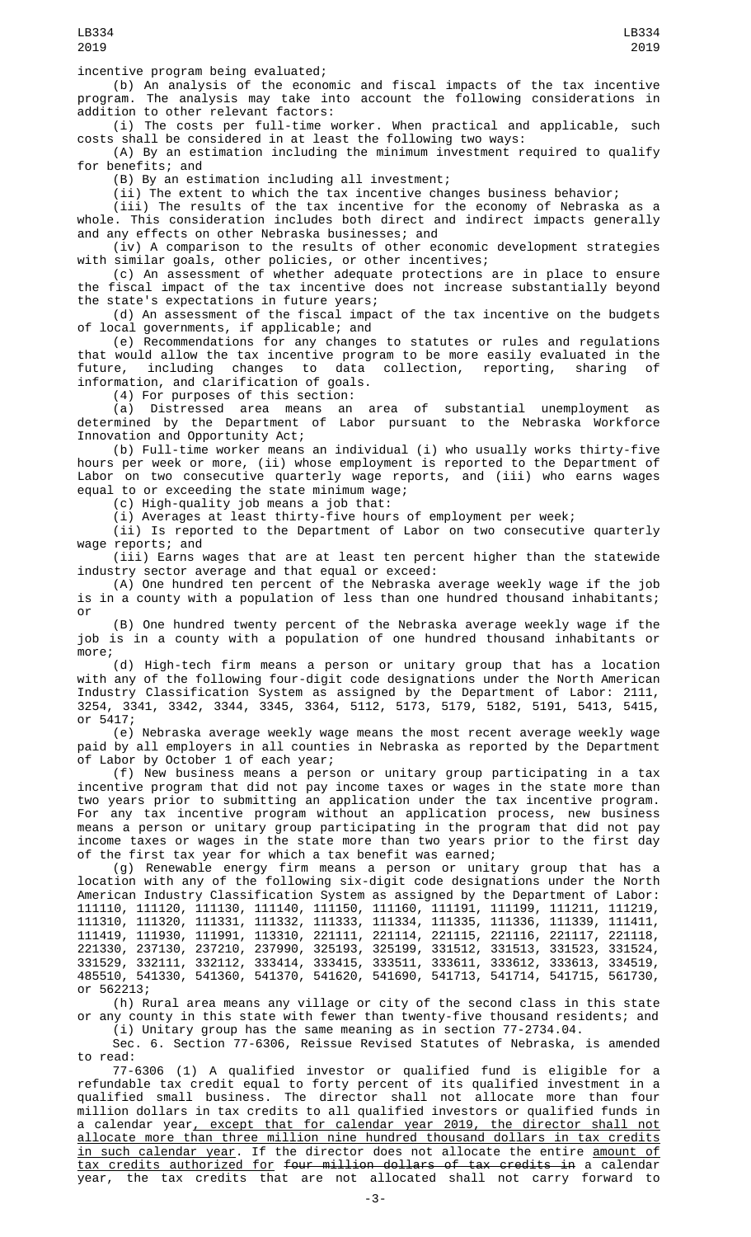incentive program being evaluated;

(b) An analysis of the economic and fiscal impacts of the tax incentive program. The analysis may take into account the following considerations in addition to other relevant factors:

(i) The costs per full-time worker. When practical and applicable, such costs shall be considered in at least the following two ways:

(A) By an estimation including the minimum investment required to qualify for benefits; and

(B) By an estimation including all investment;

(ii) The extent to which the tax incentive changes business behavior;

(iii) The results of the tax incentive for the economy of Nebraska as a whole. This consideration includes both direct and indirect impacts generally and any effects on other Nebraska businesses; and

(iv) A comparison to the results of other economic development strategies with similar goals, other policies, or other incentives;

(c) An assessment of whether adequate protections are in place to ensure the fiscal impact of the tax incentive does not increase substantially beyond the state's expectations in future years;

(d) An assessment of the fiscal impact of the tax incentive on the budgets of local governments, if applicable; and

(e) Recommendations for any changes to statutes or rules and regulations that would allow the tax incentive program to be more easily evaluated in the future, including changes to data collection, reporting, sharing of information, and clarification of goals.

(4) For purposes of this section:

(a) Distressed area means an area of substantial unemployment as determined by the Department of Labor pursuant to the Nebraska Workforce Innovation and Opportunity Act;

(b) Full-time worker means an individual (i) who usually works thirty-five hours per week or more, (ii) whose employment is reported to the Department of Labor on two consecutive quarterly wage reports, and (iii) who earns wages equal to or exceeding the state minimum wage;

(c) High-quality job means a job that:

(i) Averages at least thirty-five hours of employment per week;

(ii) Is reported to the Department of Labor on two consecutive quarterly wage reports; and

(iii) Earns wages that are at least ten percent higher than the statewide industry sector average and that equal or exceed:

(A) One hundred ten percent of the Nebraska average weekly wage if the job is in a county with a population of less than one hundred thousand inhabitants; or

(B) One hundred twenty percent of the Nebraska average weekly wage if the job is in a county with a population of one hundred thousand inhabitants or more;

(d) High-tech firm means a person or unitary group that has a location with any of the following four-digit code designations under the North American Industry Classification System as assigned by the Department of Labor: 2111, 3254, 3341, 3342, 3344, 3345, 3364, 5112, 5173, 5179, 5182, 5191, 5413, 5415, or 5417;

(e) Nebraska average weekly wage means the most recent average weekly wage paid by all employers in all counties in Nebraska as reported by the Department of Labor by October 1 of each year;

(f) New business means a person or unitary group participating in a tax incentive program that did not pay income taxes or wages in the state more than two years prior to submitting an application under the tax incentive program. For any tax incentive program without an application process, new business means a person or unitary group participating in the program that did not pay income taxes or wages in the state more than two years prior to the first day of the first tax year for which a tax benefit was earned;

(g) Renewable energy firm means a person or unitary group that has a location with any of the following six-digit code designations under the North American Industry Classification System as assigned by the Department of Labor: 111110, 111120, 111130, 111140, 111150, 111160, 111191, 111199, 111211, 111219, 111310, 111320, 111331, 111332, 111333, 111334, 111335, 111336, 111339, 111411, 111419, 111930, 111991, 113310, 221111, 221114, 221115, 221116, 221117, 221118, 221330, 237130, 237210, 237990, 325193, 325199, 331512, 331513, 331523, 331524, 331529, 332111, 332112, 333414, 333415, 333511, 333611, 333612, 333613, 334519, 485510, 541330, 541360, 541370, 541620, 541690, 541713, 541714, 541715, 561730, or 562213;

(h) Rural area means any village or city of the second class in this state or any county in this state with fewer than twenty-five thousand residents; and

(i) Unitary group has the same meaning as in section 77-2734.04. Sec. 6. Section 77-6306, Reissue Revised Statutes of Nebraska, is amended to read:

77-6306 (1) A qualified investor or qualified fund is eligible for a refundable tax credit equal to forty percent of its qualified investment in a qualified small business. The director shall not allocate more than four million dollars in tax credits to all qualified investors or qualified funds in a calendar year, except that for calendar year 2019, the director shall not allocate more than three million nine hundred thousand dollars in tax credits <u>in such calendar year</u>. If the director does not allocate the entire <u>amount of</u> tax credits authorized for four million dollars of tax credits in a calendar year, the tax credits that are not allocated shall not carry forward to

-3-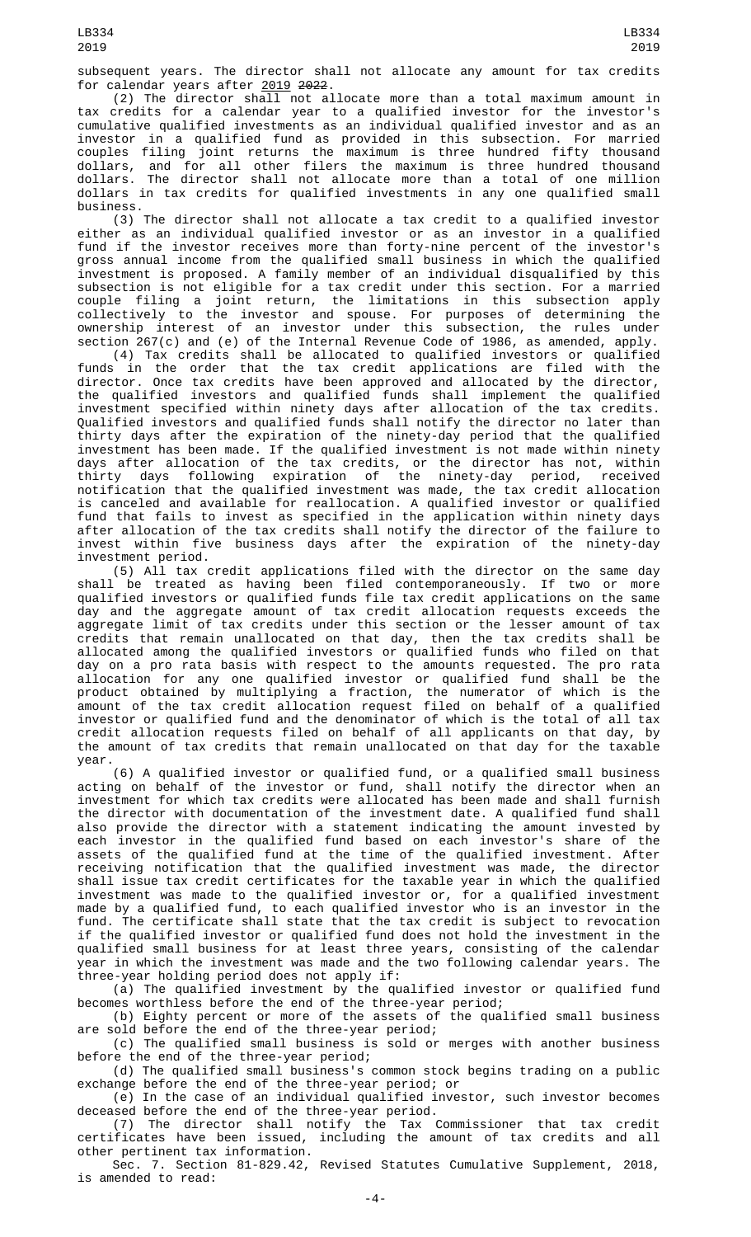subsequent years. The director shall not allocate any amount for tax credits for calendar years after <u>2019</u> <del>2022</del>.

(2) The director shall not allocate more than a total maximum amount in tax credits for a calendar year to a qualified investor for the investor's cumulative qualified investments as an individual qualified investor and as an investor in a qualified fund as provided in this subsection. For married couples filing joint returns the maximum is three hundred fifty thousand dollars, and for all other filers the maximum is three hundred thousand dollars. The director shall not allocate more than a total of one million dollars in tax credits for qualified investments in any one qualified small business.

(3) The director shall not allocate a tax credit to a qualified investor either as an individual qualified investor or as an investor in a qualified fund if the investor receives more than forty-nine percent of the investor's gross annual income from the qualified small business in which the qualified investment is proposed. A family member of an individual disqualified by this subsection is not eligible for a tax credit under this section. For a married couple filing a joint return, the limitations in this subsection apply collectively to the investor and spouse. For purposes of determining the ownership interest of an investor under this subsection, the rules under section 267(c) and (e) of the Internal Revenue Code of 1986, as amended, apply.

(4) Tax credits shall be allocated to qualified investors or qualified funds in the order that the tax credit applications are filed with the director. Once tax credits have been approved and allocated by the director, the qualified investors and qualified funds shall implement the qualified investment specified within ninety days after allocation of the tax credits. Qualified investors and qualified funds shall notify the director no later than thirty days after the expiration of the ninety-day period that the qualified investment has been made. If the qualified investment is not made within ninety days after allocation of the tax credits, or the director has not, within thirty days following expiration of the ninety-day period, received notification that the qualified investment was made, the tax credit allocation is canceled and available for reallocation. A qualified investor or qualified fund that fails to invest as specified in the application within ninety days after allocation of the tax credits shall notify the director of the failure to invest within five business days after the expiration of the ninety-day investment period.

(5) All tax credit applications filed with the director on the same day shall be treated as having been filed contemporaneously. If two or more qualified investors or qualified funds file tax credit applications on the same day and the aggregate amount of tax credit allocation requests exceeds the aggregate limit of tax credits under this section or the lesser amount of tax credits that remain unallocated on that day, then the tax credits shall be allocated among the qualified investors or qualified funds who filed on that day on a pro rata basis with respect to the amounts requested. The pro rata allocation for any one qualified investor or qualified fund shall be the product obtained by multiplying a fraction, the numerator of which is the amount of the tax credit allocation request filed on behalf of a qualified investor or qualified fund and the denominator of which is the total of all tax credit allocation requests filed on behalf of all applicants on that day, by the amount of tax credits that remain unallocated on that day for the taxable year.

(6) A qualified investor or qualified fund, or a qualified small business acting on behalf of the investor or fund, shall notify the director when an investment for which tax credits were allocated has been made and shall furnish the director with documentation of the investment date. A qualified fund shall also provide the director with a statement indicating the amount invested by each investor in the qualified fund based on each investor's share of the assets of the qualified fund at the time of the qualified investment. After receiving notification that the qualified investment was made, the director shall issue tax credit certificates for the taxable year in which the qualified investment was made to the qualified investor or, for a qualified investment made by a qualified fund, to each qualified investor who is an investor in the fund. The certificate shall state that the tax credit is subject to revocation if the qualified investor or qualified fund does not hold the investment in the qualified small business for at least three years, consisting of the calendar year in which the investment was made and the two following calendar years. The three-year holding period does not apply if:

(a) The qualified investment by the qualified investor or qualified fund becomes worthless before the end of the three-year period;

(b) Eighty percent or more of the assets of the qualified small business are sold before the end of the three-year period;

(c) The qualified small business is sold or merges with another business before the end of the three-year period;

(d) The qualified small business's common stock begins trading on a public exchange before the end of the three-year period; or

(e) In the case of an individual qualified investor, such investor becomes deceased before the end of the three-year period.

(7) The director shall notify the Tax Commissioner that tax credit certificates have been issued, including the amount of tax credits and all other pertinent tax information.

Sec. 7. Section 81-829.42, Revised Statutes Cumulative Supplement, 2018, is amended to read: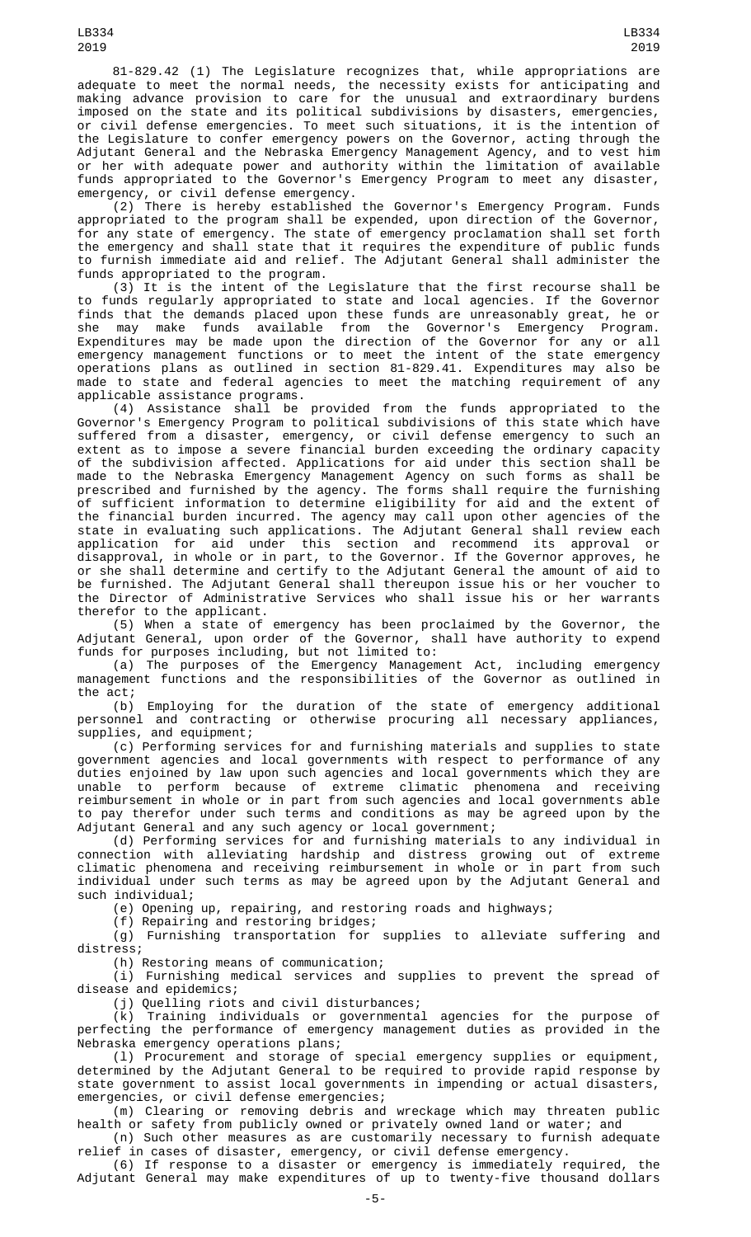81-829.42 (1) The Legislature recognizes that, while appropriations are adequate to meet the normal needs, the necessity exists for anticipating and making advance provision to care for the unusual and extraordinary burdens imposed on the state and its political subdivisions by disasters, emergencies, or civil defense emergencies. To meet such situations, it is the intention of the Legislature to confer emergency powers on the Governor, acting through the Adjutant General and the Nebraska Emergency Management Agency, and to vest him or her with adequate power and authority within the limitation of available funds appropriated to the Governor's Emergency Program to meet any disaster, emergency, or civil defense emergency.

(2) There is hereby established the Governor's Emergency Program. Funds appropriated to the program shall be expended, upon direction of the Governor, for any state of emergency. The state of emergency proclamation shall set forth the emergency and shall state that it requires the expenditure of public funds to furnish immediate aid and relief. The Adjutant General shall administer the funds appropriated to the program.

(3) It is the intent of the Legislature that the first recourse shall be to funds regularly appropriated to state and local agencies. If the Governor finds that the demands placed upon these funds are unreasonably great, he or she may make funds available from the Governor's Emergency Program. Expenditures may be made upon the direction of the Governor for any or all emergency management functions or to meet the intent of the state emergency operations plans as outlined in section 81-829.41. Expenditures may also be made to state and federal agencies to meet the matching requirement of any applicable assistance programs.

(4) Assistance shall be provided from the funds appropriated to the Governor's Emergency Program to political subdivisions of this state which have suffered from a disaster, emergency, or civil defense emergency to such an extent as to impose a severe financial burden exceeding the ordinary capacity of the subdivision affected. Applications for aid under this section shall be made to the Nebraska Emergency Management Agency on such forms as shall be prescribed and furnished by the agency. The forms shall require the furnishing of sufficient information to determine eligibility for aid and the extent of the financial burden incurred. The agency may call upon other agencies of the state in evaluating such applications. The Adjutant General shall review each application for aid under this section and recommend its approval or disapproval, in whole or in part, to the Governor. If the Governor approves, he or she shall determine and certify to the Adjutant General the amount of aid to be furnished. The Adjutant General shall thereupon issue his or her voucher to the Director of Administrative Services who shall issue his or her warrants therefor to the applicant.

(5) When a state of emergency has been proclaimed by the Governor, the Adjutant General, upon order of the Governor, shall have authority to expend funds for purposes including, but not limited to:

(a) The purposes of the Emergency Management Act, including emergency management functions and the responsibilities of the Governor as outlined in the act;<br>(b)

Employing for the duration of the state of emergency additional personnel and contracting or otherwise procuring all necessary appliances, supplies, and equipment;

(c) Performing services for and furnishing materials and supplies to state government agencies and local governments with respect to performance of any duties enjoined by law upon such agencies and local governments which they are unable to perform because of extreme climatic phenomena and receiving reimbursement in whole or in part from such agencies and local governments able to pay therefor under such terms and conditions as may be agreed upon by the Adjutant General and any such agency or local government;

(d) Performing services for and furnishing materials to any individual in connection with alleviating hardship and distress growing out of extreme climatic phenomena and receiving reimbursement in whole or in part from such individual under such terms as may be agreed upon by the Adjutant General and such individual;

(e) Opening up, repairing, and restoring roads and highways;

(f) Repairing and restoring bridges;

(g) Furnishing transportation for supplies to alleviate suffering and distress;

(h) Restoring means of communication;

(i) Furnishing medical services and supplies to prevent the spread of disease and epidemics;

(j) Quelling riots and civil disturbances;

(k) Training individuals or governmental agencies for the purpose of perfecting the performance of emergency management duties as provided in the Nebraska emergency operations plans;

(l) Procurement and storage of special emergency supplies or equipment, determined by the Adjutant General to be required to provide rapid response by state government to assist local governments in impending or actual disasters, emergencies, or civil defense emergencies;

(m) Clearing or removing debris and wreckage which may threaten public health or safety from publicly owned or privately owned land or water; and

(n) Such other measures as are customarily necessary to furnish adequate relief in cases of disaster, emergency, or civil defense emergency.

(6) If response to a disaster or emergency is immediately required, the Adjutant General may make expenditures of up to twenty-five thousand dollars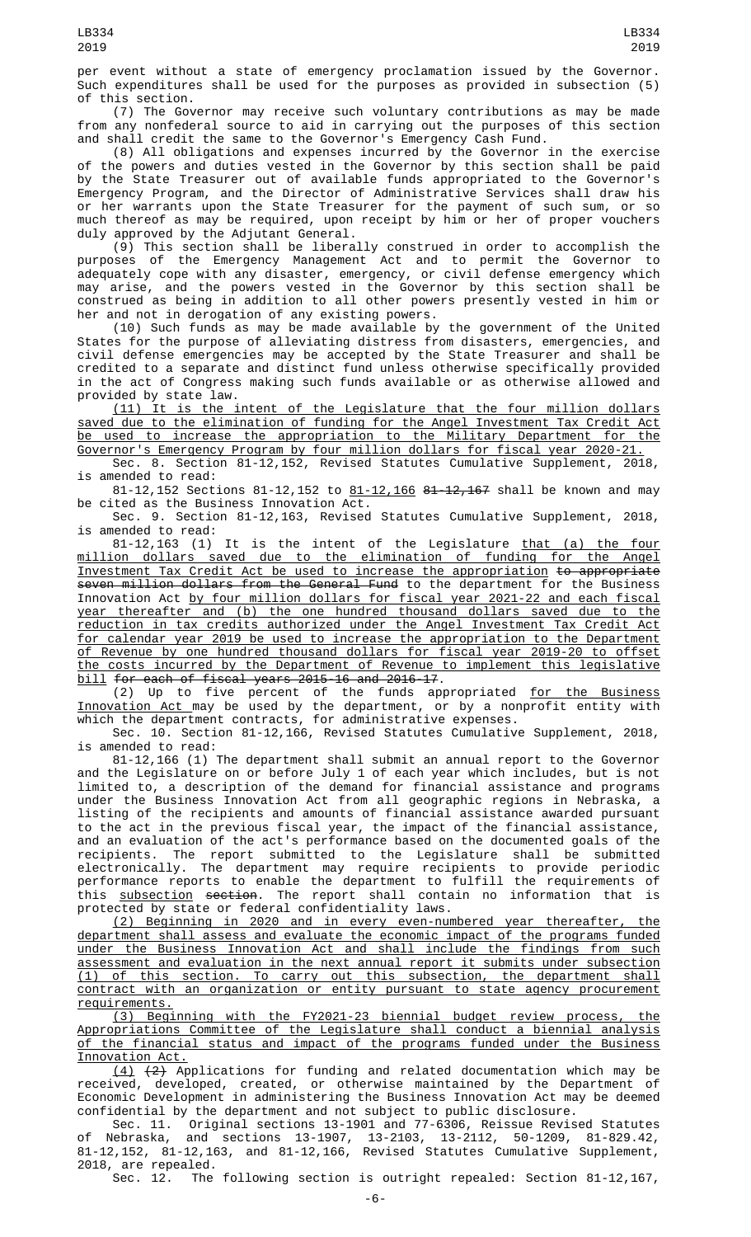per event without a state of emergency proclamation issued by the Governor. Such expenditures shall be used for the purposes as provided in subsection (5) of this section.

(7) The Governor may receive such voluntary contributions as may be made from any nonfederal source to aid in carrying out the purposes of this section and shall credit the same to the Governor's Emergency Cash Fund.

(8) All obligations and expenses incurred by the Governor in the exercise of the powers and duties vested in the Governor by this section shall be paid by the State Treasurer out of available funds appropriated to the Governor's Emergency Program, and the Director of Administrative Services shall draw his or her warrants upon the State Treasurer for the payment of such sum, or so much thereof as may be required, upon receipt by him or her of proper vouchers duly approved by the Adjutant General.

(9) This section shall be liberally construed in order to accomplish the purposes of the Emergency Management Act and to permit the Governor to adequately cope with any disaster, emergency, or civil defense emergency which may arise, and the powers vested in the Governor by this section shall be construed as being in addition to all other powers presently vested in him or her and not in derogation of any existing powers.

(10) Such funds as may be made available by the government of the United States for the purpose of alleviating distress from disasters, emergencies, and civil defense emergencies may be accepted by the State Treasurer and shall be credited to a separate and distinct fund unless otherwise specifically provided in the act of Congress making such funds available or as otherwise allowed and provided by state law.

(11) It is the intent of the Legislature that the four million dollars saved due to the elimination of funding for the Angel Investment Tax Credit Act be used to increase the appropriation to the Military Department for the Governor's Emergency Program by four million dollars for fiscal year 2020-21.

Sec. 8. Section 81-12,152, Revised Statutes Cumulative Supplement, 2018, is amended to read:

81-12,152 Sections 81-12,152 to 81-12,166 81-12,167 shall be known and may be cited as the Business Innovation Act.

Sec. 9. Section 81-12,163, Revised Statutes Cumulative Supplement, 2018, is amended to read:

81-12,163 (1) It is the intent of the Legislature that (a) the four million dollars saved due to the elimination of funding for the Angel Investment Tax Credit Act be used to increase the appropriation to appropriate seven million dollars from the General Fund to the department for the Business Innovation Act by four million dollars for fiscal year 2021-22 and each fiscal year thereafter and (b) the one hundred thousand dollars saved due to the reduction in tax credits authorized under the Angel Investment Tax Credit Act for calendar year 2019 be used to increase the appropriation to the Department of Revenue by one hundred thousand dollars for fiscal year 2019-20 to offset the costs incurred by the Department of Revenue to implement this legislative bill for each of fiscal years 2015-16 and 2016-17.

(2) Up to five percent of the funds appropriated for the Business Innovation Act may be used by the department, or by a nonprofit entity with which the department contracts, for administrative expenses.

Sec. 10. Section 81-12,166, Revised Statutes Cumulative Supplement, 2018, is amended to read:

81-12,166 (1) The department shall submit an annual report to the Governor and the Legislature on or before July 1 of each year which includes, but is not limited to, a description of the demand for financial assistance and programs under the Business Innovation Act from all geographic regions in Nebraska, a listing of the recipients and amounts of financial assistance awarded pursuant to the act in the previous fiscal year, the impact of the financial assistance, and an evaluation of the act's performance based on the documented goals of the recipients. The report submitted to the Legislature shall be submitted electronically. The department may require recipients to provide periodic performance reports to enable the department to fulfill the requirements of this <u>subsection</u> <del>section</del>. The report shall contain no information that is protected by state or federal confidentiality laws.

(2) Beginning in 2020 and in every even-numbered year thereafter, the department shall assess and evaluate the economic impact of the programs funded under the Business Innovation Act and shall include the findings from such assessment and evaluation in the next annual report it submits under subsection (1) of this section. To carry out this subsection, the department shall contract with an organization or entity pursuant to state agency procurement requirements.

(3) Beginning with the FY2021-23 biennial budget review process, the Appropriations Committee of the Legislature shall conduct a biennial analysis of the financial status and impact of the programs funded under the Business Innovation Act.

 $(4)$   $(2)$  Applications for funding and related documentation which may be received, developed, created, or otherwise maintained by the Department of Economic Development in administering the Business Innovation Act may be deemed confidential by the department and not subject to public disclosure.

Sec. 11. Original sections 13-1901 and 77-6306, Reissue Revised Statutes of Nebraska, and sections 13-1907, 13-2103, 13-2112, 50-1209, 81-829.42, 81-12,152, 81-12,163, and 81-12,166, Revised Statutes Cumulative Supplement, 2018, are repealed.

The following section is outright repealed: Section 81-12,167,